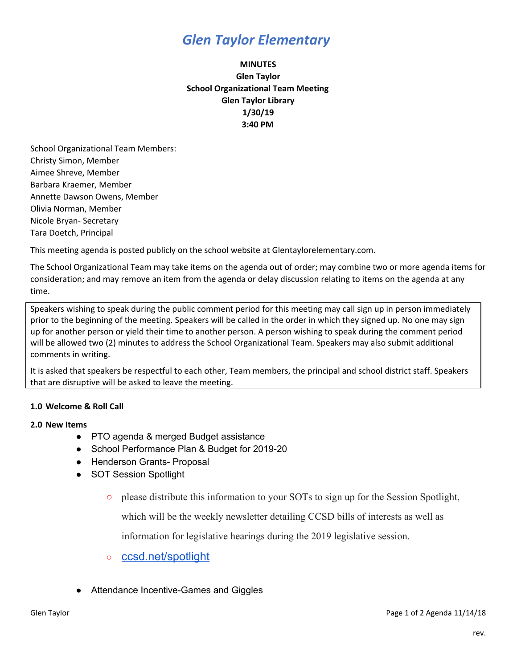## *Glen Taylor Elementary*

## **MINUTES Glen Taylor School Organizational Team Meeting Glen Taylor Library 1/30/19 3:40 PM**

School Organizational Team Members: Christy Simon, Member Aimee Shreve, Member Barbara Kraemer, Member Annette Dawson Owens, Member Olivia Norman, Member Nicole Bryan- Secretary Tara Doetch, Principal

This meeting agenda is posted publicly on the school website at Glentaylorelementary.com.

The School Organizational Team may take items on the agenda out of order; may combine two or more agenda items for consideration; and may remove an item from the agenda or delay discussion relating to items on the agenda at any time.

Speakers wishing to speak during the public comment period for this meeting may call sign up in person immediately prior to the beginning of the meeting. Speakers will be called in the order in which they signed up. No one may sign up for another person or yield their time to another person. A person wishing to speak during the comment period will be allowed two (2) minutes to address the School Organizational Team. Speakers may also submit additional comments in writing.

It is asked that speakers be respectful to each other, Team members, the principal and school district staff. Speakers that are disruptive will be asked to leave the meeting.

### **1.0 Welcome & Roll Call**

### **2.0 New Items**

- PTO agenda & merged Budget assistance
- School Performance Plan & Budget for 2019-20
- Henderson Grants- Proposal
- SOT Session Spotlight
	- please distribute this information to your SOTs to sign up for the Session Spotlight,

which will be the weekly newsletter detailing CCSD bills of interests as well as

information for legislative hearings during the 2019 legislative session.

- [ccsd.net/spotlight](http://ccsd.net/spotlight)
- Attendance Incentive-Games and Giggles